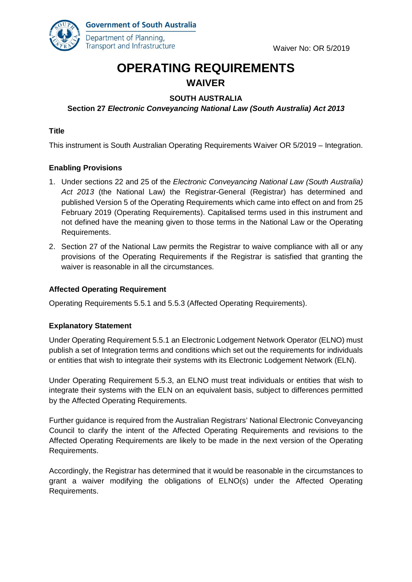

**Government of South Australia** Department of Planning, Transport and Infrastructure

# **OPERATING REQUIREMENTS WAIVER**

# **SOUTH AUSTRALIA**

# **Section 27** *Electronic Conveyancing National Law (South Australia) Act 2013*

#### **Title**

This instrument is South Australian Operating Requirements Waiver OR 5/2019 – Integration.

## **Enabling Provisions**

- 1. Under sections 22 and 25 of the *Electronic Conveyancing National Law (South Australia) Act 2013* (the National Law) the Registrar-General (Registrar) has determined and published Version 5 of the Operating Requirements which came into effect on and from 25 February 2019 (Operating Requirements). Capitalised terms used in this instrument and not defined have the meaning given to those terms in the National Law or the Operating Requirements.
- 2. Section 27 of the National Law permits the Registrar to waive compliance with all or any provisions of the Operating Requirements if the Registrar is satisfied that granting the waiver is reasonable in all the circumstances.

#### **Affected Operating Requirement**

Operating Requirements 5.5.1 and 5.5.3 (Affected Operating Requirements).

#### **Explanatory Statement**

Under Operating Requirement 5.5.1 an Electronic Lodgement Network Operator (ELNO) must publish a set of Integration terms and conditions which set out the requirements for individuals or entities that wish to integrate their systems with its Electronic Lodgement Network (ELN).

Under Operating Requirement 5.5.3, an ELNO must treat individuals or entities that wish to integrate their systems with the ELN on an equivalent basis, subject to differences permitted by the Affected Operating Requirements.

Further guidance is required from the Australian Registrars' National Electronic Conveyancing Council to clarify the intent of the Affected Operating Requirements and revisions to the Affected Operating Requirements are likely to be made in the next version of the Operating Requirements.

Accordingly, the Registrar has determined that it would be reasonable in the circumstances to grant a waiver modifying the obligations of ELNO(s) under the Affected Operating Requirements.